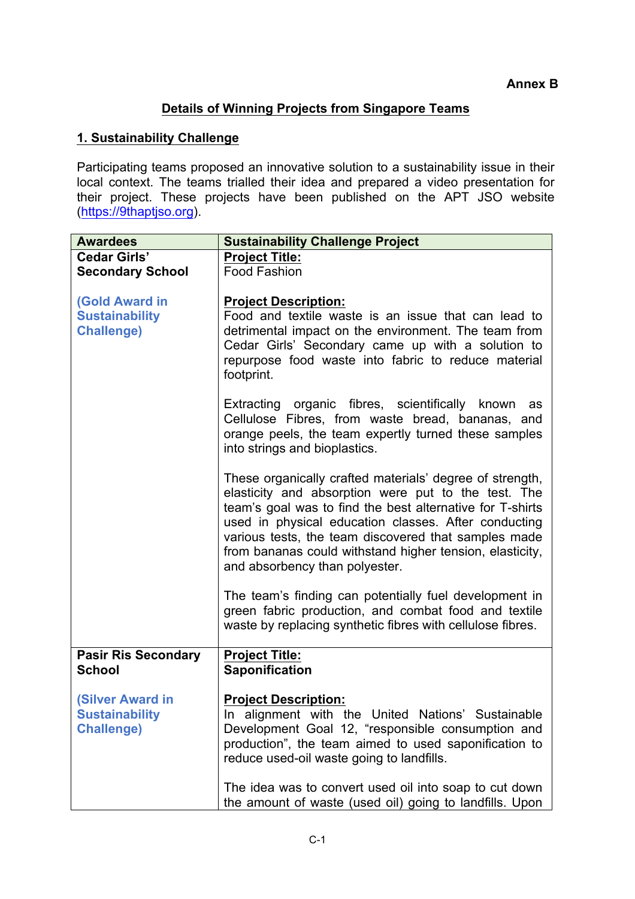## **Details of Winning Projects from Singapore Teams**

## **1. Sustainability Challenge**

Participating teams proposed an innovative solution to a sustainability issue in their local context. The teams trialled their idea and prepared a video presentation for their project. These projects have been published on the APT JSO website (https://9thaptjso.org).

| <b>Awardees</b>            | <b>Sustainability Challenge Project</b>                                                                                                                                                                                                                                                                                                                                                    |
|----------------------------|--------------------------------------------------------------------------------------------------------------------------------------------------------------------------------------------------------------------------------------------------------------------------------------------------------------------------------------------------------------------------------------------|
| <b>Cedar Girls'</b>        | <b>Project Title:</b>                                                                                                                                                                                                                                                                                                                                                                      |
| <b>Secondary School</b>    | <b>Food Fashion</b>                                                                                                                                                                                                                                                                                                                                                                        |
|                            |                                                                                                                                                                                                                                                                                                                                                                                            |
| <b>(Gold Award in</b>      | <b>Project Description:</b>                                                                                                                                                                                                                                                                                                                                                                |
| <b>Sustainability</b>      | Food and textile waste is an issue that can lead to                                                                                                                                                                                                                                                                                                                                        |
| <b>Challenge)</b>          | detrimental impact on the environment. The team from<br>Cedar Girls' Secondary came up with a solution to<br>repurpose food waste into fabric to reduce material<br>footprint.                                                                                                                                                                                                             |
|                            | Extracting organic fibres, scientifically known as<br>Cellulose Fibres, from waste bread, bananas, and<br>orange peels, the team expertly turned these samples<br>into strings and bioplastics.                                                                                                                                                                                            |
|                            | These organically crafted materials' degree of strength,<br>elasticity and absorption were put to the test. The<br>team's goal was to find the best alternative for T-shirts<br>used in physical education classes. After conducting<br>various tests, the team discovered that samples made<br>from bananas could withstand higher tension, elasticity,<br>and absorbency than polyester. |
|                            | The team's finding can potentially fuel development in<br>green fabric production, and combat food and textile<br>waste by replacing synthetic fibres with cellulose fibres.                                                                                                                                                                                                               |
| <b>Pasir Ris Secondary</b> | <b>Project Title:</b>                                                                                                                                                                                                                                                                                                                                                                      |
| <b>School</b>              | <b>Saponification</b>                                                                                                                                                                                                                                                                                                                                                                      |
|                            |                                                                                                                                                                                                                                                                                                                                                                                            |
| <b>(Silver Award in</b>    | <b>Project Description:</b>                                                                                                                                                                                                                                                                                                                                                                |
| <b>Sustainability</b>      | In alignment with the United Nations' Sustainable                                                                                                                                                                                                                                                                                                                                          |
| <b>Challenge)</b>          | Development Goal 12, "responsible consumption and<br>production", the team aimed to used saponification to<br>reduce used-oil waste going to landfills.                                                                                                                                                                                                                                    |
|                            | The idea was to convert used oil into soap to cut down<br>the amount of waste (used oil) going to landfills. Upon                                                                                                                                                                                                                                                                          |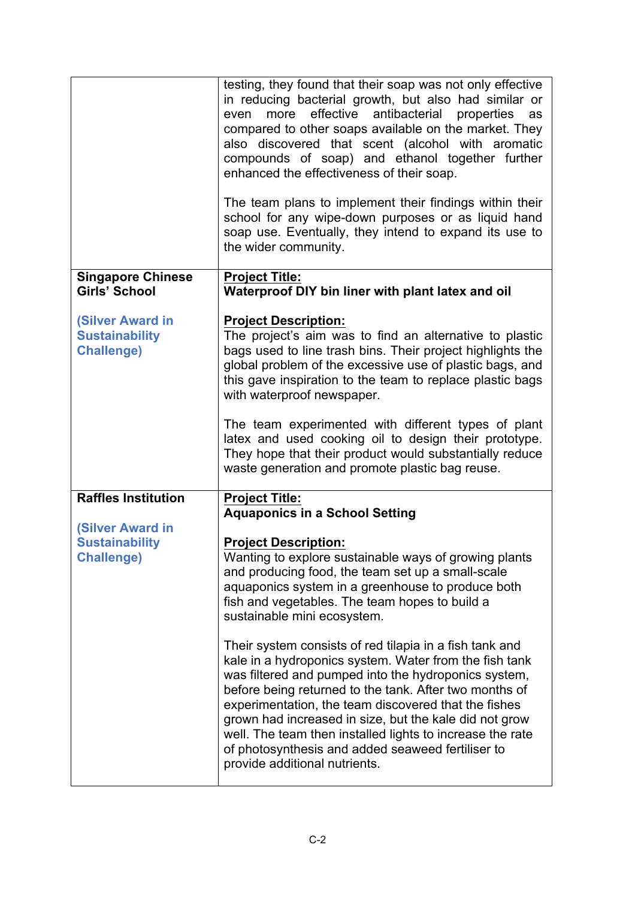|                                                                       | testing, they found that their soap was not only effective<br>in reducing bacterial growth, but also had similar or<br>effective<br>antibacterial<br>more<br>properties<br>even<br>as<br>compared to other soaps available on the market. They<br>also discovered that scent (alcohol with aromatic<br>compounds of soap) and ethanol together further<br>enhanced the effectiveness of their soap.<br>The team plans to implement their findings within their<br>school for any wipe-down purposes or as liquid hand<br>soap use. Eventually, they intend to expand its use to<br>the wider community. |
|-----------------------------------------------------------------------|---------------------------------------------------------------------------------------------------------------------------------------------------------------------------------------------------------------------------------------------------------------------------------------------------------------------------------------------------------------------------------------------------------------------------------------------------------------------------------------------------------------------------------------------------------------------------------------------------------|
| <b>Singapore Chinese</b><br>Girls' School                             | <b>Project Title:</b><br>Waterproof DIY bin liner with plant latex and oil                                                                                                                                                                                                                                                                                                                                                                                                                                                                                                                              |
| <b>(Silver Award in</b><br><b>Sustainability</b><br><b>Challenge)</b> | <b>Project Description:</b><br>The project's aim was to find an alternative to plastic<br>bags used to line trash bins. Their project highlights the<br>global problem of the excessive use of plastic bags, and<br>this gave inspiration to the team to replace plastic bags<br>with waterproof newspaper.<br>The team experimented with different types of plant<br>latex and used cooking oil to design their prototype.<br>They hope that their product would substantially reduce<br>waste generation and promote plastic bag reuse.                                                               |
| <b>Raffles Institution</b>                                            | <b>Project Title:</b><br><b>Aquaponics in a School Setting</b>                                                                                                                                                                                                                                                                                                                                                                                                                                                                                                                                          |
| <b>(Silver Award in</b>                                               |                                                                                                                                                                                                                                                                                                                                                                                                                                                                                                                                                                                                         |
| <b>Sustainability</b><br><b>Challenge)</b>                            | <b>Project Description:</b><br>Wanting to explore sustainable ways of growing plants<br>and producing food, the team set up a small-scale<br>aquaponics system in a greenhouse to produce both<br>fish and vegetables. The team hopes to build a<br>sustainable mini ecosystem.                                                                                                                                                                                                                                                                                                                         |
|                                                                       | Their system consists of red tilapia in a fish tank and<br>kale in a hydroponics system. Water from the fish tank<br>was filtered and pumped into the hydroponics system,<br>before being returned to the tank. After two months of<br>experimentation, the team discovered that the fishes<br>grown had increased in size, but the kale did not grow<br>well. The team then installed lights to increase the rate<br>of photosynthesis and added seaweed fertiliser to<br>provide additional nutrients.                                                                                                |